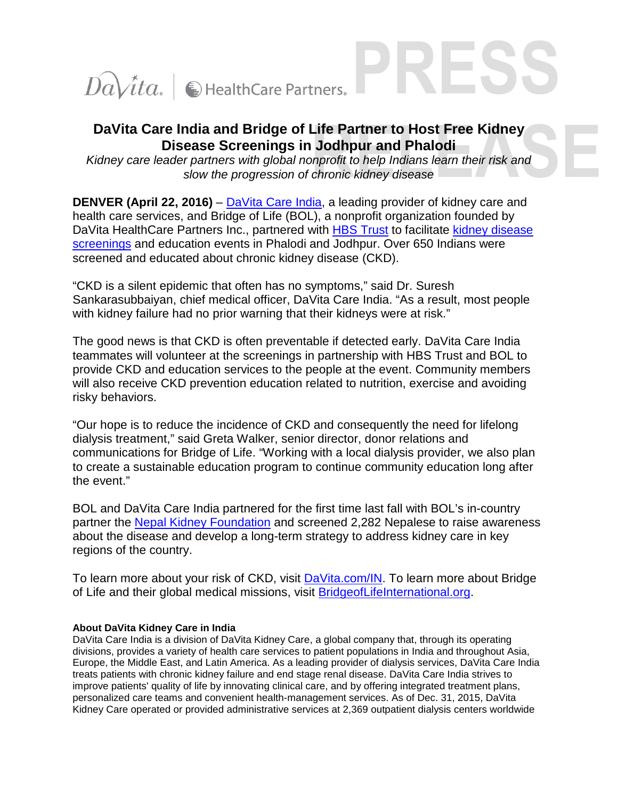

# **DaVita Care India and Bridge of Life Partner to Host Free Kidney Disease Screenings in Jodhpur and Phalodi**

*Kidney care leader partners with global nonprofit to help Indians learn their risk and slow the progression of chronic kidney disease*

**DENVER (April 22, 2016) – [DaVita Care](http://www.davita.com/in) India, a leading provider of kidney care and** health care services, and Bridge of Life (BOL), a nonprofit organization founded by DaVita HealthCare Partners Inc., partnered with [HBS Trust](http://ihbstrust.org/) to facilitate kidney disease [screenings](https://www.bridgeoflifeinternational.org/calendar/) and education events in Phalodi and Jodhpur. Over 650 Indians were screened and educated about chronic kidney disease (CKD).

"CKD is a silent epidemic that often has no symptoms," said Dr. Suresh Sankarasubbaiyan, chief medical officer, DaVita Care India. "As a result, most people with kidney failure had no prior warning that their kidneys were at risk."

The good news is that CKD is often preventable if detected early. DaVita Care India teammates will volunteer at the screenings in partnership with HBS Trust and BOL to provide CKD and education services to the people at the event. Community members will also receive CKD prevention education related to nutrition, exercise and avoiding risky behaviors.

"Our hope is to reduce the incidence of CKD and consequently the need for lifelong dialysis treatment," said Greta Walker, senior director, donor relations and communications for Bridge of Life. "Working with a local dialysis provider, we also plan to create a sustainable education program to continue community education long after the event."

BOL and DaVita Care India partnered for the first time last fall with BOL's in-country partner the [Nepal Kidney Foundation](http://nkdf.org.np/) and screened 2,282 Nepalese to raise awareness about the disease and develop a long-term strategy to address kidney care in key regions of the country.

To learn more about your risk of CKD, visit [DaVita.com/IN.](http://www.davita.com/in) To learn more about Bridge of Life and their global medical missions, visit **BridgeofLifeInternational.org**.

## **About DaVita Kidney Care in India**

DaVita Care India is a division of DaVita Kidney Care, a global company that, through its operating divisions, provides a variety of health care services to patient populations in India and throughout Asia, Europe, the Middle East, and Latin America. As a leading provider of dialysis services, DaVita Care India treats patients with chronic kidney failure and end stage renal disease. DaVita Care India strives to improve patients' quality of life by innovating clinical care, and by offering integrated treatment plans, personalized care teams and convenient health-management services. As of Dec. 31, 2015, DaVita Kidney Care operated or provided administrative services at 2,369 outpatient dialysis centers worldwide